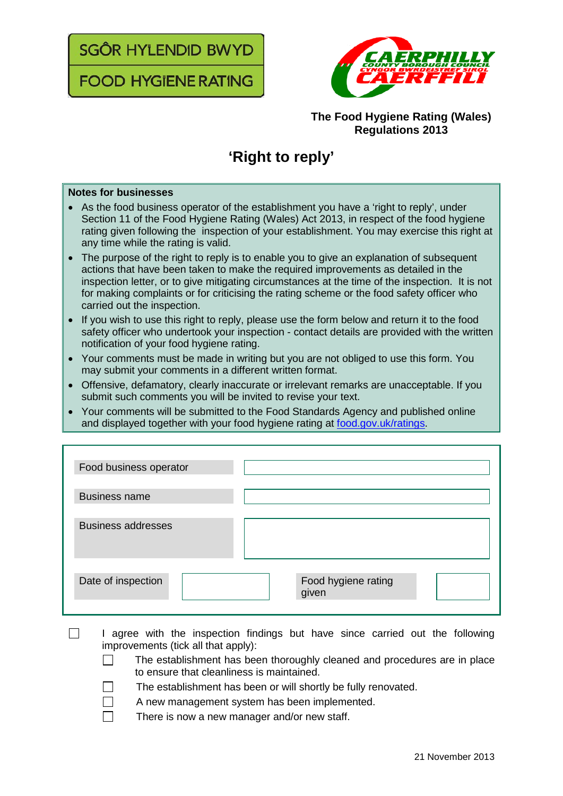SGÔR HYLENDID BWYD

**FOOD HYGIENE RATING** 



## **The Food Hygiene Rating (Wales) Regulations 2013**

## **'Right to reply'**

## **Notes for businesses**

- As the food business operator of the establishment you have a 'right to reply', under Section 11 of the Food Hygiene Rating (Wales) Act 2013, in respect of the food hygiene rating given following the inspection of your establishment. You may exercise this right at any time while the rating is valid.
- The purpose of the right to reply is to enable you to give an explanation of subsequent actions that have been taken to make the required improvements as detailed in the inspection letter, or to give mitigating circumstances at the time of the inspection. It is not for making complaints or for criticising the rating scheme or the food safety officer who carried out the inspection.
- If you wish to use this right to reply, please use the form below and return it to the food safety officer who undertook your inspection - contact details are provided with the written notification of your food hygiene rating.
- Your comments must be made in writing but you are not obliged to use this form. You may submit your comments in a different written format.
- Offensive, defamatory, clearly inaccurate or irrelevant remarks are unacceptable. If you submit such comments you will be invited to revise your text.
- Your comments will be submitted to the Food Standards Agency and published online and displayed together with your food hygiene rating at [food.gov.uk/ratings.](http://www.food.gov.uk/ratings)

| Food business operator    |                              |
|---------------------------|------------------------------|
| <b>Business name</b>      |                              |
| <b>Business addresses</b> |                              |
| Date of inspection        | Food hygiene rating<br>given |

- $\Box$ I agree with the inspection findings but have since carried out the following improvements (tick all that apply):
	- The establishment has been thoroughly cleaned and procedures are in place to ensure that cleanliness is maintained.
	- The establishment has been or will shortly be fully renovated.
	- A new management system has been implemented.
		- There is now a new manager and/or new staff.